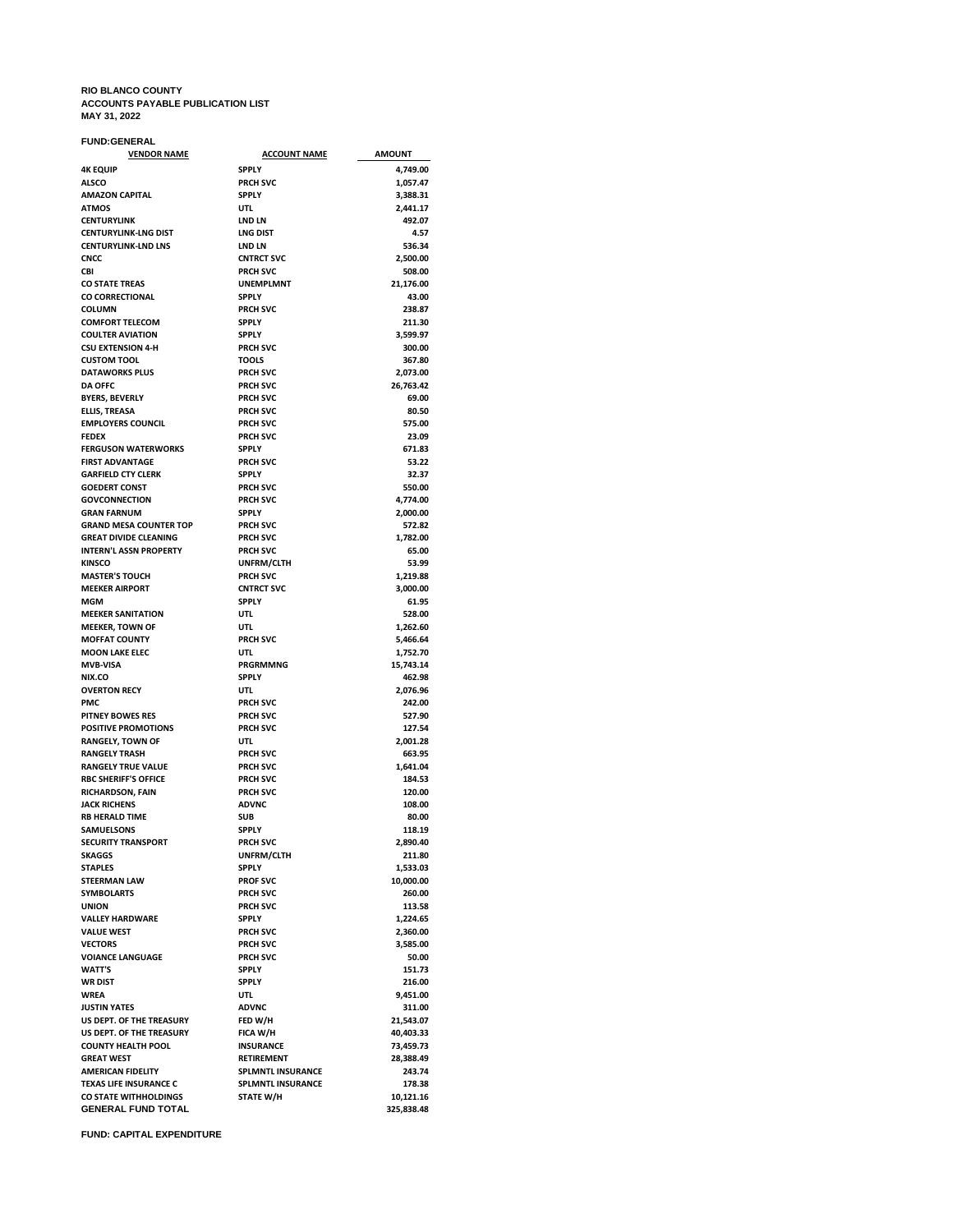#### **RIO BLANCO COUNTY ACCOUNTS PAYABLE PUBLICATION LIST MAY 31, 2022**

### **FUND:GENERAL**

| <b>VENDOR NAME</b>                                 | <b>ACCOUNT NAME</b>                | <b>AMOUNT</b>           |
|----------------------------------------------------|------------------------------------|-------------------------|
| <b>4K EQUIP</b>                                    | <b>SPPLY</b>                       | 4,749.00                |
| <b>ALSCO</b>                                       | <b>PRCH SVC</b>                    | 1,057.47                |
| <b>AMAZON CAPITAL</b>                              | <b>SPPLY</b>                       | 3,388.31                |
| <b>ATMOS</b><br><b>CENTURYLINK</b>                 | UTL<br><b>LND LN</b>               | 2,441.17<br>492.07      |
| <b>CENTURYLINK-LNG DIST</b>                        | <b>LNG DIST</b>                    | 4.57                    |
| <b>CENTURYLINK-LND LNS</b>                         | <b>LND LN</b>                      | 536.34                  |
| <b>CNCC</b>                                        | <b>CNTRCT SVC</b>                  | 2,500.00                |
| CBI                                                | <b>PRCH SVC</b>                    | 508.00                  |
| <b>CO STATE TREAS</b>                              | <b>UNEMPLMNT</b>                   | 21,176.00               |
| CO CORRECTIONAL                                    | <b>SPPLY</b>                       | 43.00                   |
| <b>COLUMN</b>                                      | <b>PRCH SVC</b>                    | 238.87                  |
| <b>COMFORT TELECOM</b><br><b>COULTER AVIATION</b>  | <b>SPPLY</b><br><b>SPPLY</b>       | 211.30<br>3,599.97      |
| <b>CSU EXTENSION 4-H</b>                           | <b>PRCH SVC</b>                    | 300.00                  |
| <b>CUSTOM TOOL</b>                                 | <b>TOOLS</b>                       | 367.80                  |
| <b>DATAWORKS PLUS</b>                              | <b>PRCH SVC</b>                    | 2,073.00                |
| <b>DA OFFC</b>                                     | <b>PRCH SVC</b>                    | 26,763.42               |
| <b>BYERS, BEVERLY</b>                              | <b>PRCH SVC</b>                    | 69.00                   |
| <b>ELLIS, TREASA</b>                               | <b>PRCH SVC</b>                    | 80.50                   |
| <b>EMPLOYERS COUNCIL</b>                           | <b>PRCH SVC</b>                    | 575.00                  |
| <b>FEDEX</b><br><b>FERGUSON WATERWORKS</b>         | <b>PRCH SVC</b><br><b>SPPLY</b>    | 23.09<br>671.83         |
| <b>FIRST ADVANTAGE</b>                             | <b>PRCH SVC</b>                    | 53.22                   |
| <b>GARFIELD CTY CLERK</b>                          | <b>SPPLY</b>                       | 32.37                   |
| <b>GOEDERT CONST</b>                               | <b>PRCH SVC</b>                    | 550.00                  |
| <b>GOVCONNECTION</b>                               | <b>PRCH SVC</b>                    | 4,774.00                |
| <b>GRAN FARNUM</b>                                 | <b>SPPLY</b>                       | 2,000.00                |
| <b>GRAND MESA COUNTER TOP</b>                      | <b>PRCH SVC</b>                    | 572.82                  |
| <b>GREAT DIVIDE CLEANING</b>                       | <b>PRCH SVC</b>                    | 1,782.00                |
| <b>INTERN'L ASSN PROPERTY</b><br><b>KINSCO</b>     | <b>PRCH SVC</b><br>UNFRM/CLTH      | 65.00<br>53.99          |
| <b>MASTER'S TOUCH</b>                              | <b>PRCH SVC</b>                    | 1,219.88                |
| <b>MEEKER AIRPORT</b>                              | <b>CNTRCT SVC</b>                  | 3,000.00                |
| MGM                                                | <b>SPPLY</b>                       | 61.95                   |
| <b>MEEKER SANITATION</b>                           | UTL                                | 528.00                  |
| <b>MEEKER, TOWN OF</b>                             | UTL                                | 1,262.60                |
| <b>MOFFAT COUNTY</b>                               | <b>PRCH SVC</b>                    | 5,466.64                |
| <b>MOON LAKE ELEC</b>                              | UTL                                | 1,752.70                |
| <b>MVB-VISA</b><br>NIX.CO                          | PRGRMMNG<br><b>SPPLY</b>           | 15,743.14<br>462.98     |
| <b>OVERTON RECY</b>                                | UTL                                | 2,076.96                |
| <b>PMC</b>                                         | <b>PRCH SVC</b>                    | 242.00                  |
| <b>PITNEY BOWES RES</b>                            | <b>PRCH SVC</b>                    | 527.90                  |
| <b>POSITIVE PROMOTIONS</b>                         | <b>PRCH SVC</b>                    | 127.54                  |
| <b>RANGELY, TOWN OF</b>                            | UTL                                | 2,001.28                |
| <b>RANGELY TRASH</b>                               | <b>PRCH SVC</b>                    | 663.95                  |
| <b>RANGELY TRUE VALUE</b>                          | <b>PRCH SVC</b>                    | 1,641.04                |
| <b>RBC SHERIFF'S OFFICE</b><br>RICHARDSON, FAIN    | <b>PRCH SVC</b><br><b>PRCH SVC</b> | 184.53<br>120.00        |
| <b>JACK RICHENS</b>                                | <b>ADVNC</b>                       | 108.00                  |
| <b>RB HERALD TIME</b>                              | <b>SUB</b>                         | 80.00                   |
| <b>SAMUELSONS</b>                                  | <b>SPPLY</b>                       | 118.19                  |
| <b>SECURITY TRANSPORT</b>                          | <b>PRCH SVC</b>                    | 2,890.40                |
| <b>SKAGGS</b>                                      | UNFRM/CLTH                         | 211.80                  |
| <b>STAPLES</b>                                     | <b>SPPLY</b>                       | 1,533.03                |
| <b>STEERMAN LAW</b><br><b>SYMBOLARTS</b>           | <b>PROF SVC</b><br><b>PRCH SVC</b> | 10,000.00<br>260.00     |
| <b>UNION</b>                                       | <b>PRCH SVC</b>                    | 113.58                  |
| <b>VALLEY HARDWARE</b>                             | <b>SPPLY</b>                       | 1,224.65                |
| <b>VALUE WEST</b>                                  | <b>PRCH SVC</b>                    | 2,360.00                |
| <b>VECTORS</b>                                     | <b>PRCH SVC</b>                    | 3,585.00                |
| <b>VOIANCE LANGUAGE</b>                            | <b>PRCH SVC</b>                    | 50.00                   |
| <b>WATT'S</b>                                      | <b>SPPLY</b>                       | 151.73                  |
| <b>WR DIST</b>                                     | <b>SPPLY</b>                       | 216.00                  |
| WREA                                               | UTL                                | 9,451.00                |
| <b>JUSTIN YATES</b><br>US DEPT. OF THE TREASURY    | <b>ADVNC</b><br>FED W/H            | 311.00                  |
| US DEPT. OF THE TREASURY                           | FICA W/H                           | 21,543.07<br>40.403.33  |
|                                                    |                                    |                         |
| <b>COUNTY HEALTH POOL</b>                          | <b>INSURANCE</b>                   |                         |
| <b>GREAT WEST</b>                                  | <b>RETIREMENT</b>                  | 73,459.73<br>28,388.49  |
| <b>AMERICAN FIDELITY</b>                           | <b>SPLMNTL INSURANCE</b>           | 243.74                  |
| <b>TEXAS LIFE INSURANCE C</b>                      | <b>SPLMNTL INSURANCE</b>           | 178.38                  |
| CO STATE WITHHOLDINGS<br><b>GENERAL FUND TOTAL</b> | STATE W/H                          | 10,121.16<br>325,838.48 |

**FUND: CAPITAL EXPENDITURE**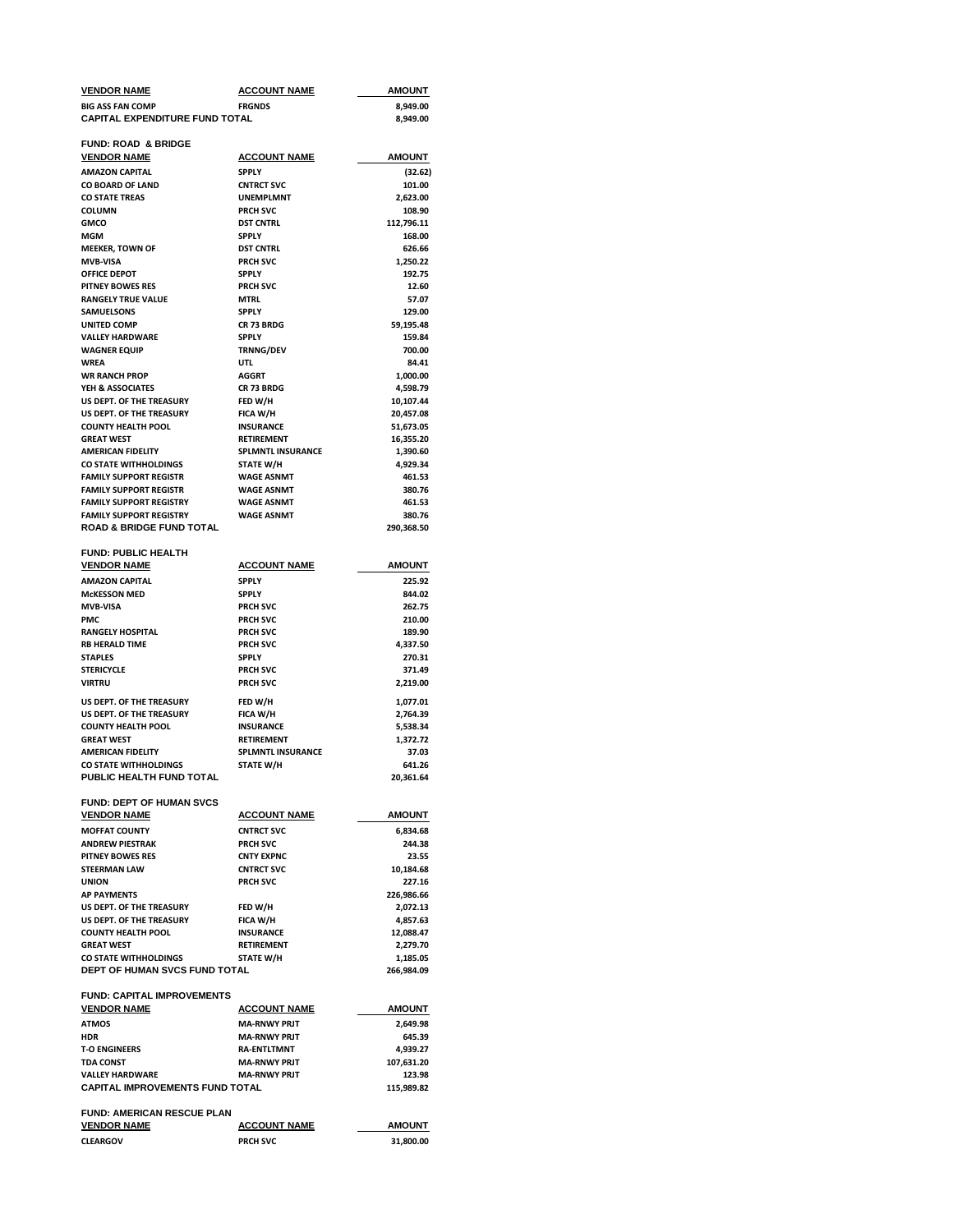| VENDOR NAME                                                           | <u>ACCOUNT NAME</u>                          | <b>AMOUNT</b>          |
|-----------------------------------------------------------------------|----------------------------------------------|------------------------|
| <b>BIG ASS FAN COMP</b>                                               | <b>FRGNDS</b>                                | 8,949.00               |
| <b>CAPITAL EXPENDITURE FUND TOTAL</b>                                 |                                              | 8,949.00               |
| <b>FUND: ROAD &amp; BRIDGE</b>                                        |                                              |                        |
| <u>VENDOR NAME</u>                                                    | <b>ACCOUNT NAME</b>                          | AMOUNT                 |
| <b>AMAZON CAPITAL</b>                                                 | <b>SPPLY</b>                                 | (32.62)                |
| CO BOARD OF LAND                                                      | <b>CNTRCT SVC</b>                            | 101.00                 |
| <b>CO STATE TREAS</b><br>COLUMN                                       | <b>UNEMPLMNT</b><br><b>PRCH SVC</b>          | 2,623.00<br>108.90     |
| GMCO                                                                  | <b>DST CNTRL</b>                             | 112,796.11             |
| MGM                                                                   | <b>SPPLY</b>                                 | 168.00                 |
| <b>MEEKER, TOWN OF</b>                                                | <b>DST CNTRL</b>                             | 626.66                 |
| <b>MVB-VISA</b>                                                       | <b>PRCH SVC</b>                              | 1,250.22               |
| <b>OFFICE DEPOT</b>                                                   | <b>SPPLY</b>                                 | 192.75                 |
| PITNEY BOWES RES                                                      | <b>PRCH SVC</b><br><b>MTRL</b>               | 12.60                  |
| <b>RANGELY TRUE VALUE</b><br>SAMUELSONS                               | <b>SPPLY</b>                                 | 57.07<br>129.00        |
| UNITED COMP                                                           | CR 73 BRDG                                   | 59,195.48              |
| <b>VALLEY HARDWARE</b>                                                | <b>SPPLY</b>                                 | 159.84                 |
| WAGNER EQUIP                                                          | <b>TRNNG/DEV</b>                             | 700.00                 |
| WREA                                                                  | UTL                                          | 84.41                  |
| WR RANCH PROP                                                         | <b>AGGRT</b>                                 | 1,000.00               |
| YEH & ASSOCIATES                                                      | CR 73 BRDG                                   | 4,598.79               |
| US DEPT. OF THE TREASURY<br>US DEPT. OF THE TREASURY                  | FED W/H<br>FICA W/H                          | 10,107.44<br>20,457.08 |
| <b>COUNTY HEALTH POOL</b>                                             | <b>INSURANCE</b>                             | 51,673.05              |
| <b>GREAT WEST</b>                                                     | <b>RETIREMENT</b>                            | 16,355.20              |
| <b>AMERICAN FIDELITY</b>                                              | <b>SPLMNTL INSURANCE</b>                     | 1,390.60               |
| CO STATE WITHHOLDINGS                                                 | <b>STATE W/H</b>                             | 4,929.34               |
| <b>FAMILY SUPPORT REGISTR</b>                                         | <b>WAGE ASNMT</b>                            | 461.53                 |
| <b>FAMILY SUPPORT REGISTR</b>                                         | <b>WAGE ASNMT</b>                            | 380.76                 |
| <b>FAMILY SUPPORT REGISTRY</b>                                        | <b>WAGE ASNMT</b>                            | 461.53                 |
| <b>FAMILY SUPPORT REGISTRY</b><br><b>ROAD &amp; BRIDGE FUND TOTAL</b> | <b>WAGE ASNMT</b>                            | 380.76<br>290,368.50   |
| <b>FUND: PUBLIC HEALTH</b>                                            |                                              |                        |
| <b>VENDOR NAME</b>                                                    | <b>ACCOUNT NAME</b>                          | AMOUNT                 |
| AMAZON CAPITAL                                                        | <b>SPPLY</b>                                 | 225.92                 |
| <b>McKESSON MED</b>                                                   | <b>SPPLY</b>                                 | 844.02                 |
| MVB-VISA                                                              | <b>PRCH SVC</b>                              | 262.75                 |
| PMC                                                                   | <b>PRCH SVC</b>                              | 210.00                 |
| RANGELY HOSPITAL<br>RB HERALD TIME                                    | <b>PRCH SVC</b><br><b>PRCH SVC</b>           | 189.90<br>4,337.50     |
| <b>STAPLES</b>                                                        | <b>SPPLY</b>                                 | 270.31                 |
| STERICYCLE                                                            | <b>PRCH SVC</b>                              | 371.49                 |
| VIRTRU                                                                | <b>PRCH SVC</b>                              | 2,219.00               |
| US DEPT. OF THE TREASURY                                              | FED W/H                                      | 1,077.01               |
| US DEPT. OF THE TREASURY                                              | FICA W/H                                     | 2,764.39               |
| <b>COUNTY HEALTH POOL</b>                                             | <b>INSURANCE</b>                             | 5,538.34               |
| <b>GREAT WEST</b>                                                     | RETIREMENT                                   | 1,372.72               |
| AMERICAN FIDELITY<br>CO STATE WITHHOLDINGS                            | <b>SPLMNTL INSURANCE</b><br><b>STATE W/H</b> | 37.03<br>641.26        |
| PUBLIC HEALTH FUND TOTAL                                              |                                              | 20,361.64              |
| <b>FUND: DEPT OF HUMAN SVCS</b>                                       |                                              |                        |
| <b>VENDOR NAME</b>                                                    | <b>ACCOUNT NAME</b>                          | AMOUNT                 |
| <b>MOFFAT COUNTY</b>                                                  | <b>CNTRCT SVC</b>                            | 6,834.68               |
| <b>ANDREW PIESTRAK</b>                                                | <b>PRCH SVC</b>                              | 244.38                 |
| PITNEY BOWES RES                                                      | <b>CNTY EXPNC</b>                            | 23.55                  |
| STEERMAN LAW                                                          | <b>CNTRCT SVC</b>                            | 10,184.68              |
| <b>UNION</b><br><b>AP PAYMENTS</b>                                    | <b>PRCH SVC</b>                              | 227.16<br>226,986.66   |
| US DEPT. OF THE TREASURY                                              | FED W/H                                      | 2,072.13               |
| US DEPT. OF THE TREASURY                                              | FICA W/H                                     | 4,857.63               |
| <b>COUNTY HEALTH POOL</b>                                             | <b>INSURANCE</b>                             | 12,088.47              |
| <b>GREAT WEST</b>                                                     | <b>RETIREMENT</b>                            | 2,279.70               |
| CO STATE WITHHOLDINGS                                                 | STATE W/H                                    | 1,185.05               |
| <b>DEPT OF HUMAN SVCS FUND TOTAL</b>                                  |                                              | 266,984.09             |
| FUND: CAPITAL IMPROVEMENTS                                            |                                              |                        |
| <u>VENDOR NAME</u>                                                    | <b>ACCOUNT NAME</b>                          | AMOUNT                 |
| ATMOS                                                                 | <b>MA-RNWY PRJT</b>                          | 2,649.98               |
| HDR                                                                   | <b>MA-RNWY PRJT</b>                          | 645.39                 |
| <b>T-O ENGINEERS</b><br>TDA CONST                                     | <b>RA-ENTLTMNT</b><br><b>MA-RNWY PRJT</b>    | 4,939.27<br>107,631.20 |
| <b>VALLEY HARDWARE</b>                                                | <b>MA-RNWY PRJT</b>                          | 123.98                 |
| CAPITAL IMPROVEMENTS FUND TOTAL                                       |                                              | 115,989.82             |
| <b>FUND: AMERICAN RESCUE PLAN</b>                                     |                                              |                        |
| <u>VENDOR NAME</u>                                                    | <b>ACCOUNT NAME</b>                          | AMOUNT                 |
| <b>CLEARGOV</b>                                                       | <b>PRCH SVC</b>                              | 31,800.00              |
|                                                                       |                                              |                        |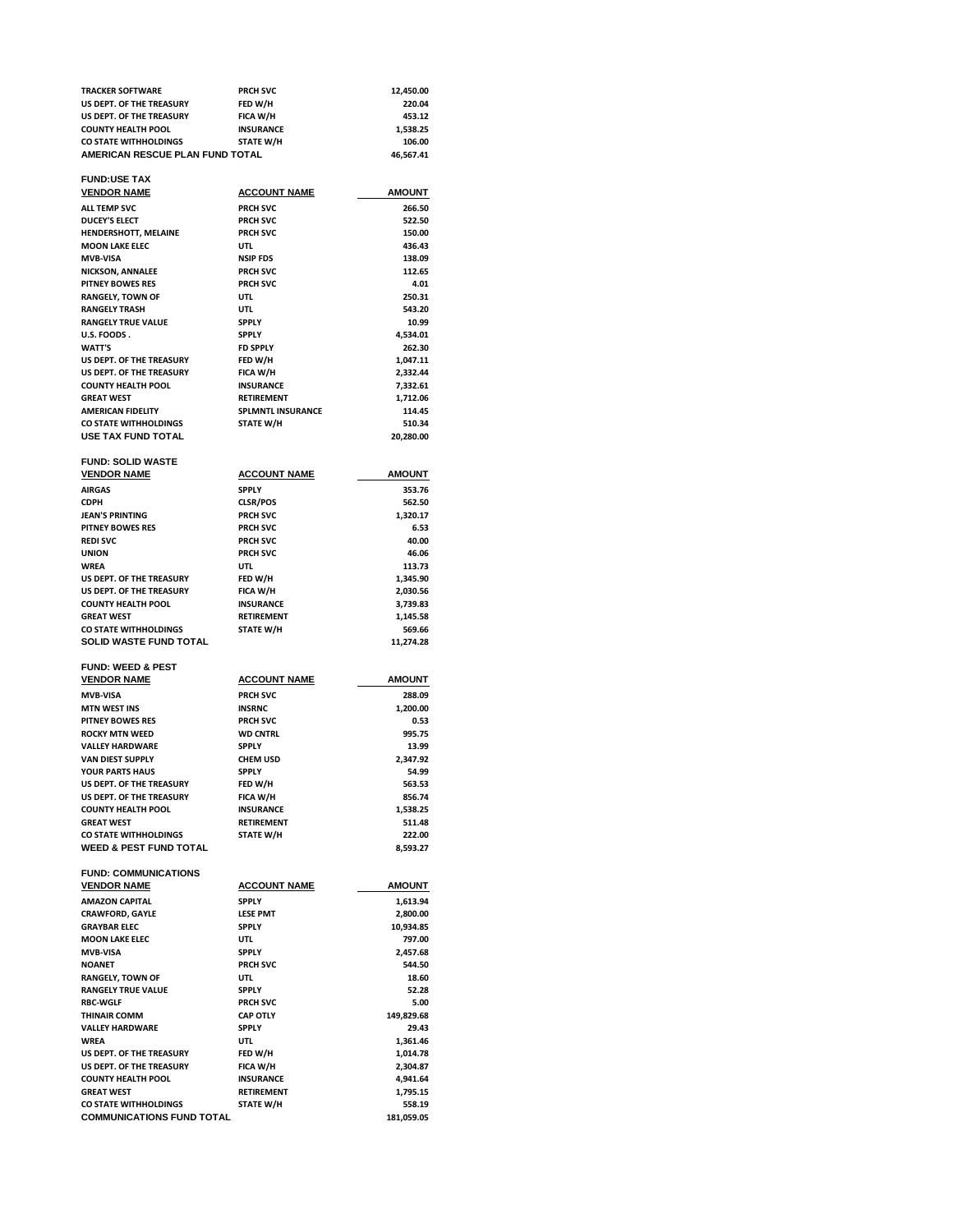| <b>TRACKER SOFTWARE</b>         | <b>PRCH SVC</b>  | 12.450.00 |
|---------------------------------|------------------|-----------|
| US DEPT. OF THE TREASURY        | FED W/H          | 220.04    |
| US DEPT. OF THE TREASURY        | <b>FICA W/H</b>  | 453.12    |
| <b>COUNTY HEALTH POOL</b>       | <b>INSURANCE</b> | 1.538.25  |
| <b>CO STATE WITHHOLDINGS</b>    | <b>STATE W/H</b> | 106.00    |
| AMERICAN RESCUE PLAN FUND TOTAL |                  | 46.567.41 |

# **FUND:USE TAX**

| FUND:USE IAA              |                          |               |
|---------------------------|--------------------------|---------------|
| <b>VENDOR NAME</b>        | <b>ACCOUNT NAME</b>      | <b>AMOUNT</b> |
| ALL TEMP SVC              | <b>PRCH SVC</b>          | 266.50        |
| <b>DUCEY'S ELECT</b>      | <b>PRCH SVC</b>          | 522.50        |
| HENDERSHOTT, MELAINE      | <b>PRCH SVC</b>          | 150.00        |
| <b>MOON LAKE ELEC</b>     | UTL                      | 436.43        |
| <b>MVB-VISA</b>           | <b>NSIP FDS</b>          | 138.09        |
| NICKSON, ANNALEE          | <b>PRCH SVC</b>          | 112.65        |
| <b>PITNEY BOWES RES</b>   | <b>PRCH SVC</b>          | 4.01          |
| <b>RANGELY, TOWN OF</b>   | UTL                      | 250.31        |
| <b>RANGELY TRASH</b>      | <b>UTL</b>               | 543.20        |
| <b>RANGELY TRUE VALUE</b> | <b>SPPLY</b>             | 10.99         |
| U.S. FOODS .              | <b>SPPLY</b>             | 4,534.01      |
| <b>WATT'S</b>             | <b>FD SPPLY</b>          | 262.30        |
| US DEPT. OF THE TREASURY  | FED W/H                  | 1,047.11      |
| US DEPT. OF THE TREASURY  | FICA W/H                 | 2,332.44      |
| <b>COUNTY HEALTH POOL</b> | <b>INSURANCE</b>         | 7,332.61      |
| <b>GREAT WEST</b>         | <b>RETIREMENT</b>        | 1,712.06      |
| <b>AMERICAN FIDELITY</b>  | <b>SPLMNTL INSURANCE</b> | 114.45        |
| CO STATE WITHHOLDINGS     | STATE W/H                | 510.34        |
| USE TAX FUND TOTAL        |                          | 20,280.00     |
|                           |                          |               |

#### **FUND: SOLID WASTE VENDOR NAME ACCOUNT NAME AMOUNT AIRGAS SPPLY 353.76 CLSR/POS** 562.50<br> **CLSR/POS** 562.50<br> **PRCH SVC** 50 2.320.17 **JEAN'S PRINTING PROFISYC PROFISYC 1,320.17**<br> **PROFISYC PROFISYC PROFISYC 6.53 PITNEY BOWES RES PRCH SVC 6.53 REDI SVC PRCH SVC 40.00** UNION PRCH SVC 46.06<br>
WREA UTL UTL 113.73 **WREA UTL 113.73** US DEPT. OF THE TREASURY **FED W/H 1,345.90**<br>
US DEPT. OF THE TREASURY FICA W/H 2,030.56 **US DEPT. OF THE TREASURY FICA W/H 2,030.56 COUNTY HEALTH POOL INSURANCE 3,739.83 RETIREMENT**<br> **GREATE W/H**<br> **GREATE W/H**<br> **GREATE M** CO STATE WITHHOLDINGS STATE W/H 569.66<br> **SOLID WASTE FUND TOTAL** 500 511,274.28 **SOLID WASTE FUND TOTAL**

## **FUND: WEED & PEST VENDOR NAME**

| <b>PRCH SVC</b><br>288.09<br><b>MVB-VISA</b><br><b>MTN WEST INS</b><br><b>INSRNC</b><br>1.200.00<br><b>PITNEY BOWES RES</b><br><b>PRCH SVC</b><br>0.53<br><b>WD CNTRL</b><br>995.75<br><b>ROCKY MTN WEED</b><br>13.99<br><b>VALLEY HARDWARE</b><br><b>SPPLY</b><br><b>VAN DIEST SUPPLY</b><br><b>CHEM USD</b><br>2.347.92<br>54.99<br>YOUR PARTS HAUS<br><b>SPPLY</b><br>FED W/H<br>US DEPT. OF THE TREASURY<br>563.53<br>FICA W/H<br>US DEPT. OF THE TREASURY<br>856.74<br><b>INSURANCE</b><br><b>COUNTY HEALTH POOL</b><br>1.538.25<br><b>GREAT WEST</b><br>511.48<br><b>RETIREMENT</b><br><b>STATE W/H</b><br>222.00<br>CO STATE WITHHOLDINGS<br><b>WEED &amp; PEST FUND TOTAL</b><br>8.593.27 | <b>VENDOR NAME</b> | <b>ACCOUNT NAME</b> | <b>AMOUNT</b> |
|---------------------------------------------------------------------------------------------------------------------------------------------------------------------------------------------------------------------------------------------------------------------------------------------------------------------------------------------------------------------------------------------------------------------------------------------------------------------------------------------------------------------------------------------------------------------------------------------------------------------------------------------------------------------------------------------------|--------------------|---------------------|---------------|
|                                                                                                                                                                                                                                                                                                                                                                                                                                                                                                                                                                                                                                                                                                   |                    |                     |               |
|                                                                                                                                                                                                                                                                                                                                                                                                                                                                                                                                                                                                                                                                                                   |                    |                     |               |
|                                                                                                                                                                                                                                                                                                                                                                                                                                                                                                                                                                                                                                                                                                   |                    |                     |               |
|                                                                                                                                                                                                                                                                                                                                                                                                                                                                                                                                                                                                                                                                                                   |                    |                     |               |
|                                                                                                                                                                                                                                                                                                                                                                                                                                                                                                                                                                                                                                                                                                   |                    |                     |               |
|                                                                                                                                                                                                                                                                                                                                                                                                                                                                                                                                                                                                                                                                                                   |                    |                     |               |
|                                                                                                                                                                                                                                                                                                                                                                                                                                                                                                                                                                                                                                                                                                   |                    |                     |               |
|                                                                                                                                                                                                                                                                                                                                                                                                                                                                                                                                                                                                                                                                                                   |                    |                     |               |
|                                                                                                                                                                                                                                                                                                                                                                                                                                                                                                                                                                                                                                                                                                   |                    |                     |               |
|                                                                                                                                                                                                                                                                                                                                                                                                                                                                                                                                                                                                                                                                                                   |                    |                     |               |
|                                                                                                                                                                                                                                                                                                                                                                                                                                                                                                                                                                                                                                                                                                   |                    |                     |               |
|                                                                                                                                                                                                                                                                                                                                                                                                                                                                                                                                                                                                                                                                                                   |                    |                     |               |
|                                                                                                                                                                                                                                                                                                                                                                                                                                                                                                                                                                                                                                                                                                   |                    |                     |               |

# **FUND: COMMUNICATIONS**

| <b>VENDOR NAME</b>               | <b>ACCOUNT NAME</b> | <b>AMOUNT</b> |
|----------------------------------|---------------------|---------------|
| <b>AMAZON CAPITAL</b>            | <b>SPPLY</b>        | 1,613.94      |
| <b>CRAWFORD, GAYLE</b>           | <b>LESE PMT</b>     | 2,800.00      |
| <b>GRAYBAR ELEC</b>              | <b>SPPLY</b>        | 10,934.85     |
| <b>MOON LAKE ELEC</b>            | UTL                 | 797.00        |
| <b>MVB-VISA</b>                  | <b>SPPLY</b>        | 2.457.68      |
| <b>NOANET</b>                    | <b>PRCH SVC</b>     | 544.50        |
| <b>RANGELY, TOWN OF</b>          | UTL                 | 18.60         |
| <b>RANGELY TRUE VALUE</b>        | <b>SPPLY</b>        | 52.28         |
| <b>RBC-WGLF</b>                  | <b>PRCH SVC</b>     | 5.00          |
| <b>THINAIR COMM</b>              | <b>CAP OTLY</b>     | 149,829.68    |
| <b>VALLEY HARDWARE</b>           | <b>SPPLY</b>        | 29.43         |
| <b>WREA</b>                      | UTL                 | 1,361.46      |
| US DEPT. OF THE TREASURY         | FED W/H             | 1,014.78      |
| US DEPT. OF THE TREASURY         | FICA W/H            | 2.304.87      |
| <b>COUNTY HEALTH POOL</b>        | <b>INSURANCE</b>    | 4,941.64      |
| <b>GREAT WEST</b>                | <b>RETIREMENT</b>   | 1,795.15      |
| <b>CO STATE WITHHOLDINGS</b>     | <b>STATE W/H</b>    | 558.19        |
| <b>COMMUNICATIONS FUND TOTAL</b> |                     | 181.059.05    |